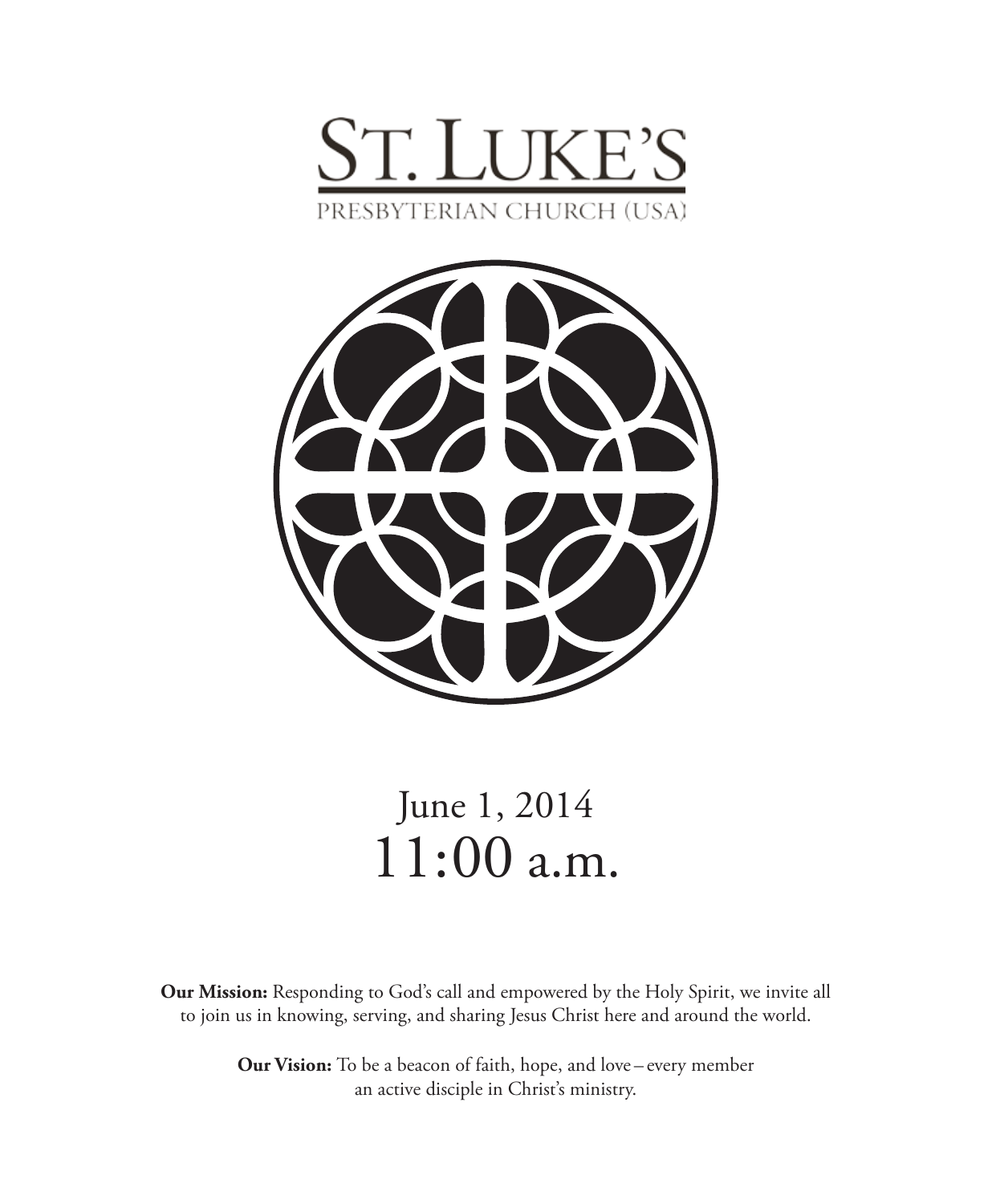



# June 1, 2014 11:00 a.m.

**Our Mission:** Responding to God's call and empowered by the Holy Spirit, we invite all to join us in knowing, serving, and sharing Jesus Christ here and around the world.

> **Our Vision:** To be a beacon of faith, hope, and love – every member an active disciple in Christ's ministry.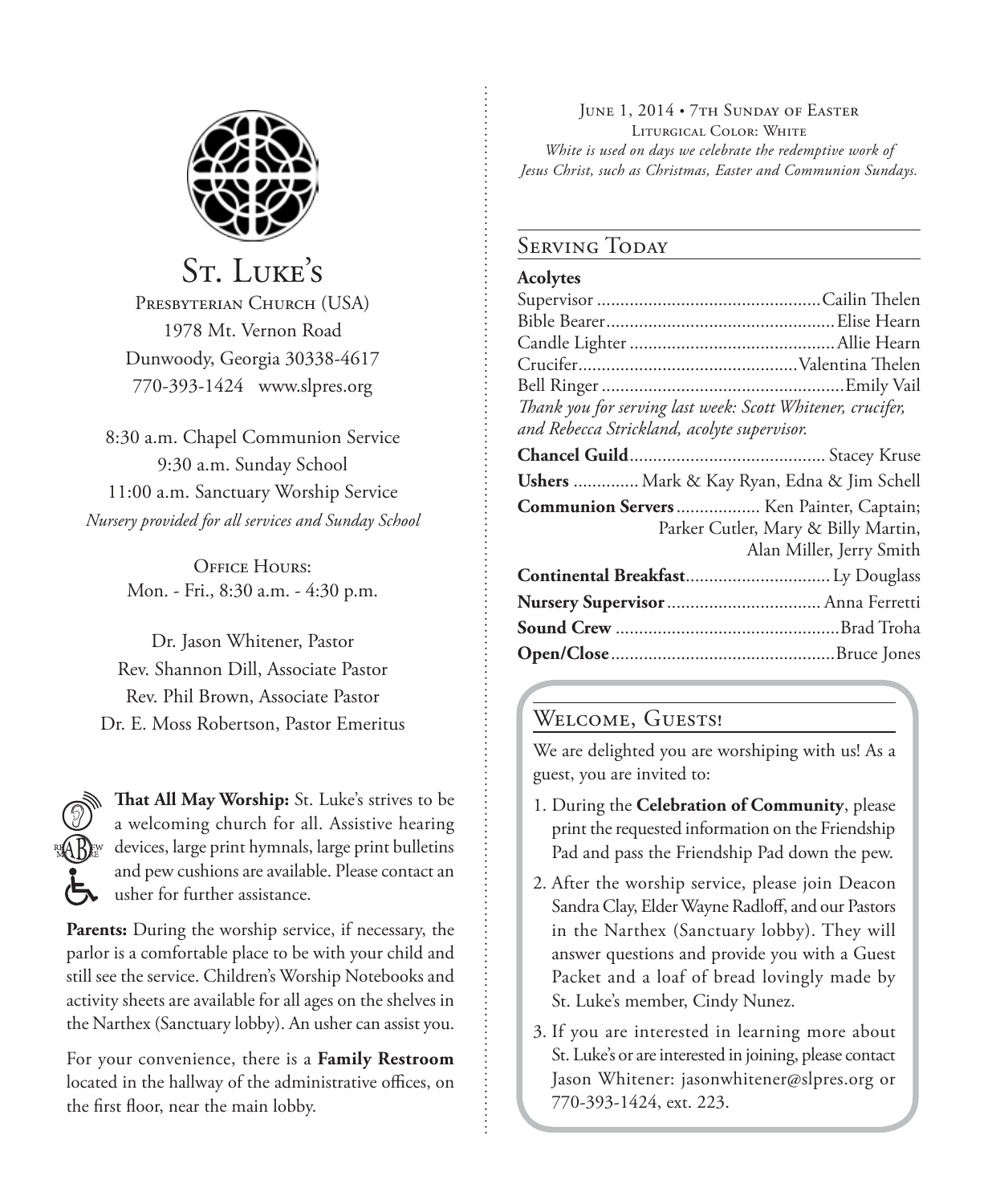

St. LUKE'S PRESBYTERIAN CHURCH (USA) 1978 Mt. Vernon Road Dunwoody, Georgia 30338-4617 770-393-1424 www.slpres.org

8:30 a.m. Chapel Communion Service 9:30 a.m. Sunday School 11:00 a.m. Sanctuary Worship Service *Nursery provided for all services and Sunday School*

> **OFFICE HOURS:** Mon. - Fri., 8:30 a.m. - 4:30 p.m.

Dr. Jason Whitener, Pastor Rev. Shannon Dill, Associate Pastor Rev. Phil Brown, Associate Pastor Dr. E. Moss Robertson, Pastor Emeritus



**That All May Worship:** St. Luke's strives to be a welcoming church for all. Assistive hearing devices, large print hymnals, large print bulletins and pew cushions are available. Please contact an usher for further assistance.

**Parents:** During the worship service, if necessary, the parlor is a comfortable place to be with your child and still see the service. Children's Worship Notebooks and activity sheets are available for all ages on the shelves in the Narthex (Sanctuary lobby). An usher can assist you.

For your convenience, there is a **Family Restroom** located in the hallway of the administrative offices, on the first floor, near the main lobby.

JUNE 1, 2014 • 7TH SUNDAY OF EASTER Liturgical Color: White *White is used on days we celebrate the redemptive work of Jesus Christ, such as Christmas, Easter and Communion Sundays.* 

#### **SERVING TODAY**

#### **Acolytes**

| Thank you for serving last week: Scott Whitener, crucifer,                                                 |
|------------------------------------------------------------------------------------------------------------|
| and Rebecca Strickland, acolyte supervisor.                                                                |
|                                                                                                            |
| Ushers  Mark & Kay Ryan, Edna & Jim Schell                                                                 |
| Communion Servers Ken Painter, Captain;<br>Parker Cutler, Mary & Billy Martin,<br>Alan Miller, Jerry Smith |
| Continental Breakfast Ly Douglass                                                                          |
| Nursery Supervisor  Anna Ferretti                                                                          |
|                                                                                                            |
|                                                                                                            |
|                                                                                                            |

# WELCOME, GUESTS!

We are delighted you are worshiping with us! As a guest, you are invited to:

- 1. During the **Celebration of Community**, please print the requested information on the Friendship Pad and pass the Friendship Pad down the pew.
- 2. After the worship service, please join Deacon Sandra Clay, Elder Wayne Radloff, and our Pastors in the Narthex (Sanctuary lobby). They will answer questions and provide you with a Guest Packet and a loaf of bread lovingly made by St. Luke's member, Cindy Nunez.
- 3. If you are interested in learning more about St. Luke's or are interested in joining, please contact Jason Whitener: jasonwhitener@slpres.org or 770-393-1424, ext. 223.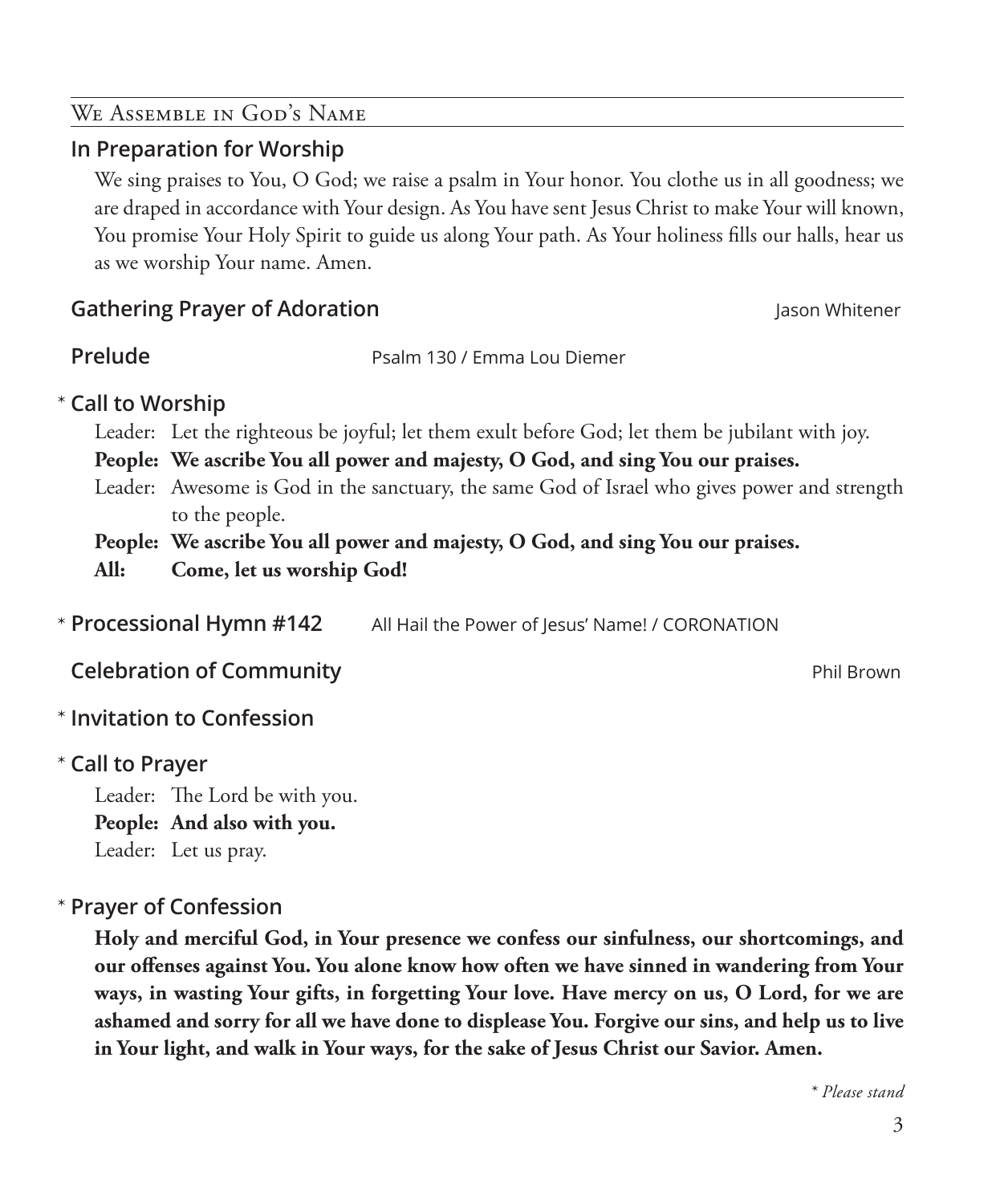#### We Assemble in God's Name

## **In Preparation for Worship**

 We sing praises to You, O God; we raise a psalm in Your honor. You clothe us in all goodness; we are draped in accordance with Your design. As You have sent Jesus Christ to make Your will known, You promise Your Holy Spirit to guide us along Your path. As Your holiness fills our halls, hear us as we worship Your name. Amen.

# **Gathering Prayer of Adoration Jason Whitener Jason Whitener**

**Prelude** Prelude **Prelude** Psalm 130 / Emma Lou Diemer

# **Call to Worship**  \*

Leader: Let the righteous be joyful; let them exult before God; let them be jubilant with joy.

**People: We ascribe You all power and majesty, O God, and sing You our praises.**

Leader: Awesome is God in the sanctuary, the same God of Israel who gives power and strength to the people.

**People: We ascribe You all power and majesty, O God, and sing You our praises. All: Come, let us worship God!**

All Hail the Power of Jesus' Name! / CORONATION \* Processional Hymn #142

**Celebration of Community Phil Brown** Phil Brown

# **Invitation to Confession** \*

# **Call to Prayer**  \*

Leader: The Lord be with you. **People: And also with you.** Leader: Let us pray.

# **Prayer of Confession**  \*

 **Holy and merciful God, in Your presence we confess our sinfulness, our shortcomings, and our offenses against You. You alone know how often we have sinned in wandering from Your ways, in wasting Your gifts, in forgetting Your love. Have mercy on us, O Lord, for we are ashamed and sorry for all we have done to displease You. Forgive our sins, and help us to live in Your light, and walk in Your ways, for the sake of Jesus Christ our Savior. Amen.**

*\* Please stand*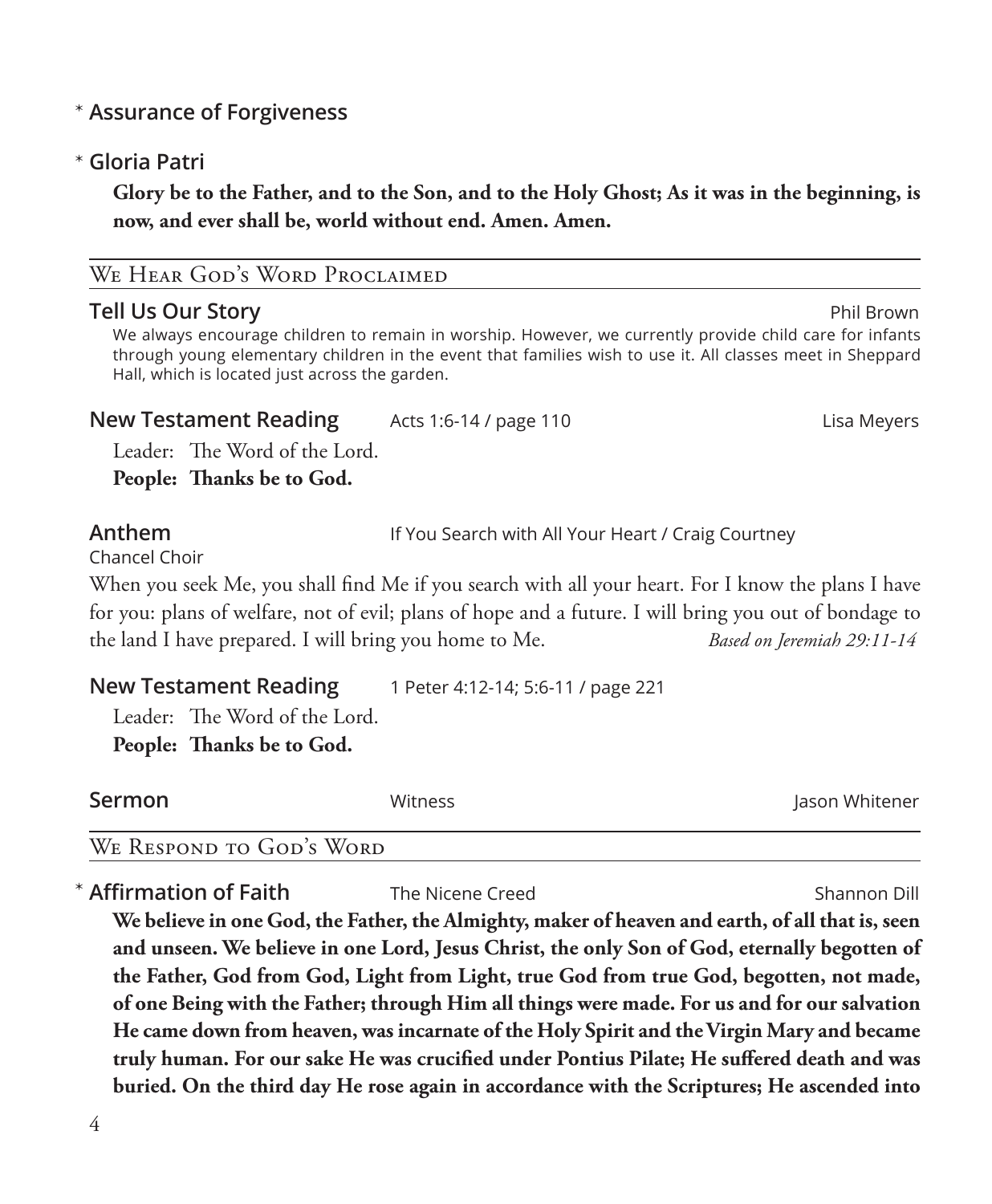# **Assurance of Forgiveness** \*

# **Gloria Patri** \*

 **Glory be to the Father, and to the Son, and to the Holy Ghost; As it was in the beginning, is now, and ever shall be, world without end. Amen. Amen.**

## WE HEAR GOD'S WORD PROCLAIMED

#### **Tell Us Our Story** Phil Brown

 We always encourage children to remain in worship. However, we currently provide child care for infants through young elementary children in the event that families wish to use it. All classes meet in Sheppard Hall, which is located just across the garden.

#### **New Testament Reading** Acts 1:6-14 / page 110 Acts Lisa Meyers

Leader: The Word of the Lord.

**People: Thanks be to God.**

**Anthem** If You Search with All Your Heart / Craig Courtney

Chancel Choir

When you seek Me, you shall find Me if you search with all your heart. For I know the plans I have for you: plans of welfare, not of evil; plans of hope and a future. I will bring you out of bondage to the land I have prepared. I will bring you home to Me. *Based on Jeremiah 29:11-14*

| <b>New Testament Reading</b>  | 1 Peter 4:12-14; 5:6-11 / page 221 |
|-------------------------------|------------------------------------|
| Leader: The Word of the Lord. |                                    |

**People: Thanks be to God.**

| Sermon | Witness | Jason Whitener |
|--------|---------|----------------|
|        |         |                |

#### We Respond to God's Word

**Affirmation of Faith** The Nicene Creed **Shannon Dill** Shannon Dill

 **We believe in one God, the Father, the Almighty, maker of heaven and earth, of all that is, seen and unseen. We believe in one Lord, Jesus Christ, the only Son of God, eternally begotten of the Father, God from God, Light from Light, true God from true God, begotten, not made, of one Being with the Father; through Him all things were made. For us and for our salvation He came down from heaven, was incarnate of the Holy Spirit and the Virgin Mary and became truly human. For our sake He was crucified under Pontius Pilate; He suffered death and was buried. On the third day He rose again in accordance with the Scriptures; He ascended into**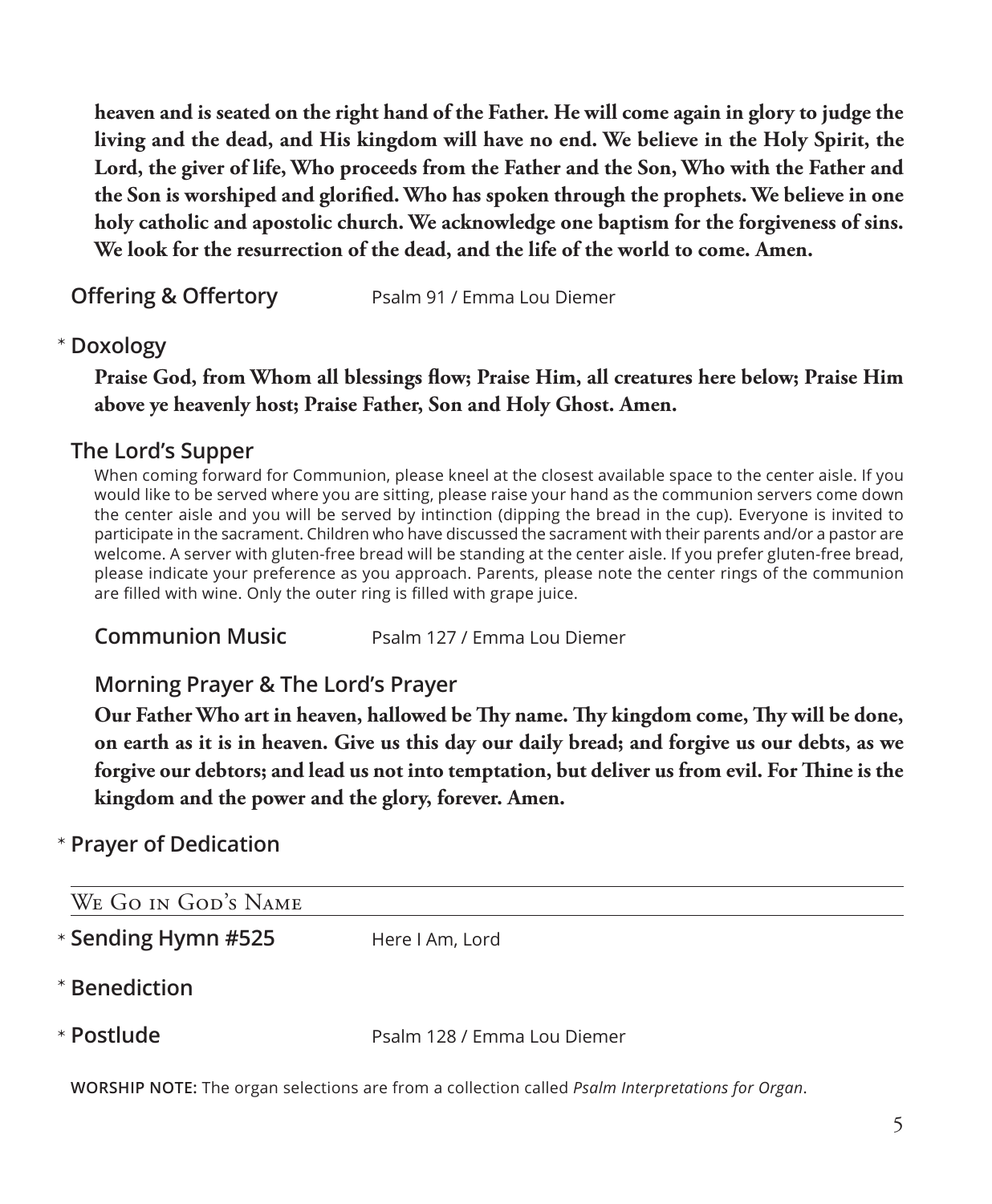**heaven and is seated on the right hand of the Father. He will come again in glory to judge the living and the dead, and His kingdom will have no end. We believe in the Holy Spirit, the Lord, the giver of life, Who proceeds from the Father and the Son, Who with the Father and the Son is worshiped and glorified. Who has spoken through the prophets. We believe in one holy catholic and apostolic church. We acknowledge one baptism for the forgiveness of sins. We look for the resurrection of the dead, and the life of the world to come. Amen.**

**Offering & Offertory** Psalm 91 / Emma Lou Diemer

# **Doxology** \*

 **Praise God, from Whom all blessings flow; Praise Him, all creatures here below; Praise Him above ye heavenly host; Praise Father, Son and Holy Ghost. Amen.**

## **The Lord's Supper**

 When coming forward for Communion, please kneel at the closest available space to the center aisle. If you would like to be served where you are sitting, please raise your hand as the communion servers come down the center aisle and you will be served by intinction (dipping the bread in the cup). Everyone is invited to participate in the sacrament. Children who have discussed the sacrament with their parents and/or a pastor are welcome. A server with gluten-free bread will be standing at the center aisle. If you prefer gluten-free bread, please indicate your preference as you approach. Parents, please note the center rings of the communion are filled with wine. Only the outer ring is filled with grape juice.

**Communion Music** Psalm 127 / Emma Lou Diemer

# **Morning Prayer & The Lord's Prayer**

 **Our Father Who art in heaven, hallowed be Thy name. Thy kingdom come, Thy will be done, on earth as it is in heaven. Give us this day our daily bread; and forgive us our debts, as we forgive our debtors; and lead us not into temptation, but deliver us from evil. For Thine is the kingdom and the power and the glory, forever. Amen.**

# **Prayer of Dedication** \*

| WE GO IN GOD'S NAME |                                                                                                          |
|---------------------|----------------------------------------------------------------------------------------------------------|
| * Sending Hymn #525 | Here I Am, Lord                                                                                          |
| * Benediction       |                                                                                                          |
| * Postlude          | Psalm 128 / Emma Lou Diemer                                                                              |
|                     | WORSHIP NOTE: The organ selections are from a collection called <i>Psalm Interpretations for Organ</i> . |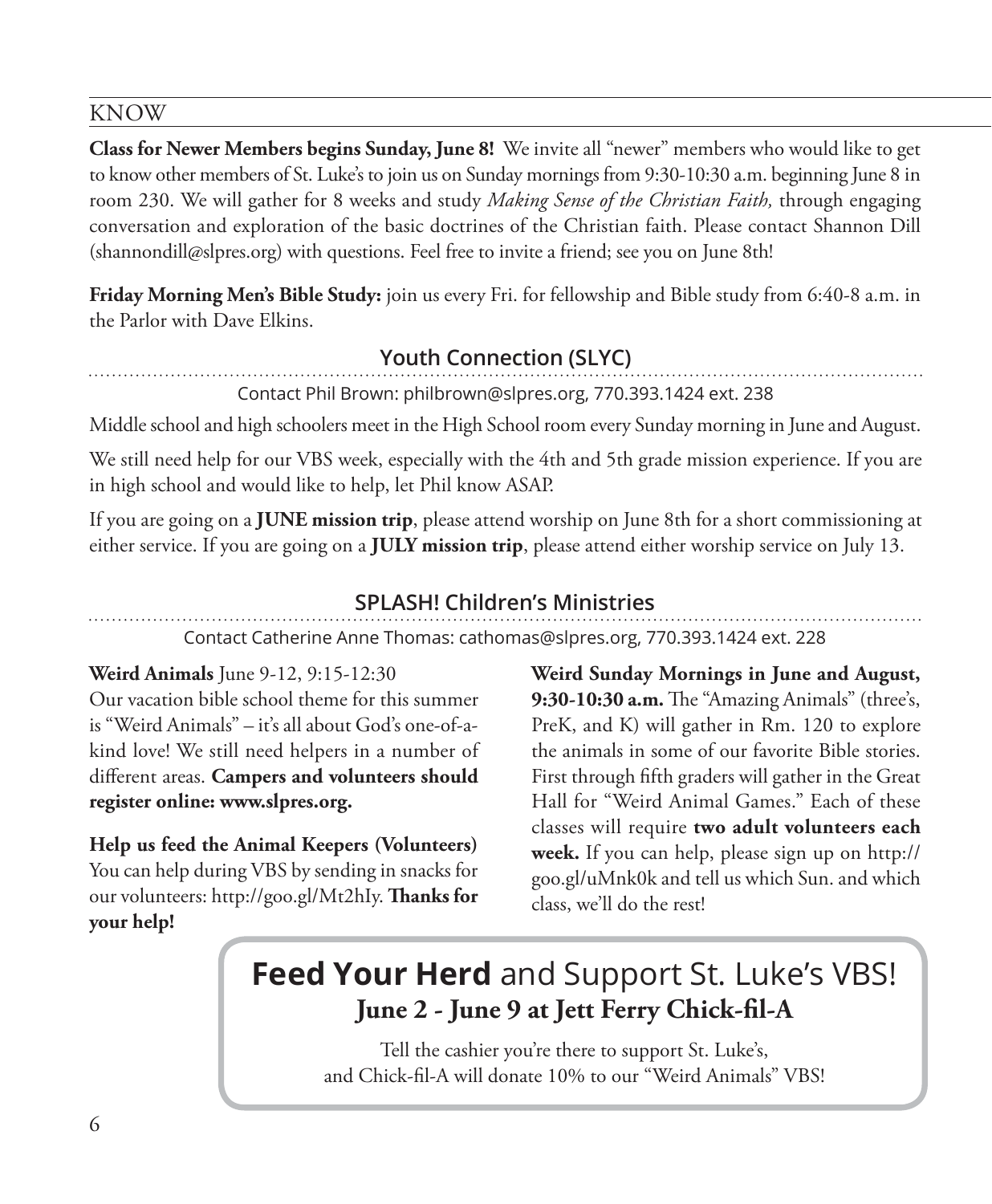#### KNOW

**Class for Newer Members begins Sunday, June 8!** We invite all "newer" members who would like to get to know other members of St. Luke's to join us on Sunday mornings from 9:30-10:30 a.m. beginning June 8 in room 230. We will gather for 8 weeks and study *Making Sense of the Christian Faith,* through engaging conversation and exploration of the basic doctrines of the Christian faith. Please contact Shannon Dill (shannondill@slpres.org) with questions. Feel free to invite a friend; see you on June 8th!

**Friday Morning Men's Bible Study:** join us every Fri. for fellowship and Bible study from 6:40-8 a.m. in the Parlor with Dave Elkins.

# **Youth Connection (SLYC)**

Contact Phil Brown: philbrown@slpres.org, 770.393.1424 ext. 238

Middle school and high schoolers meet in the High School room every Sunday morning in June and August.

We still need help for our VBS week, especially with the 4th and 5th grade mission experience. If you are in high school and would like to help, let Phil know ASAP.

If you are going on a **JUNE mission trip**, please attend worship on June 8th for a short commissioning at either service. If you are going on a **JULY mission trip**, please attend either worship service on July 13.

# **SPLASH! Children's Ministries**

Contact Catherine Anne Thomas: cathomas@slpres.org, 770.393.1424 ext. 228

**Weird Animals** June 9-12, 9:15-12:30

Our vacation bible school theme for this summer is "Weird Animals" – it's all about God's one-of-akind love! We still need helpers in a number of different areas. **Campers and volunteers should register online: www.slpres.org.**

**Help us feed the Animal Keepers (Volunteers)**  You can help during VBS by sending in snacks for our volunteers: http://goo.gl/Mt2hIy. **Thanks for your help!**

**Weird Sunday Mornings in June and August, 9:30-10:30 a.m.** The "Amazing Animals" (three's, PreK, and K) will gather in Rm. 120 to explore the animals in some of our favorite Bible stories. First through fifth graders will gather in the Great Hall for "Weird Animal Games." Each of these classes will require **two adult volunteers each week.** If you can help, please sign up on http:// goo.gl/uMnk0k and tell us which Sun. and which class, we'll do the rest!

# **Feed Your Herd** and Support St. Luke's VBS! **June 2 - June 9 at Jett Ferry Chick-fil-A**

Tell the cashier you're there to support St. Luke's, and Chick-fil-A will donate 10% to our "Weird Animals" VBS!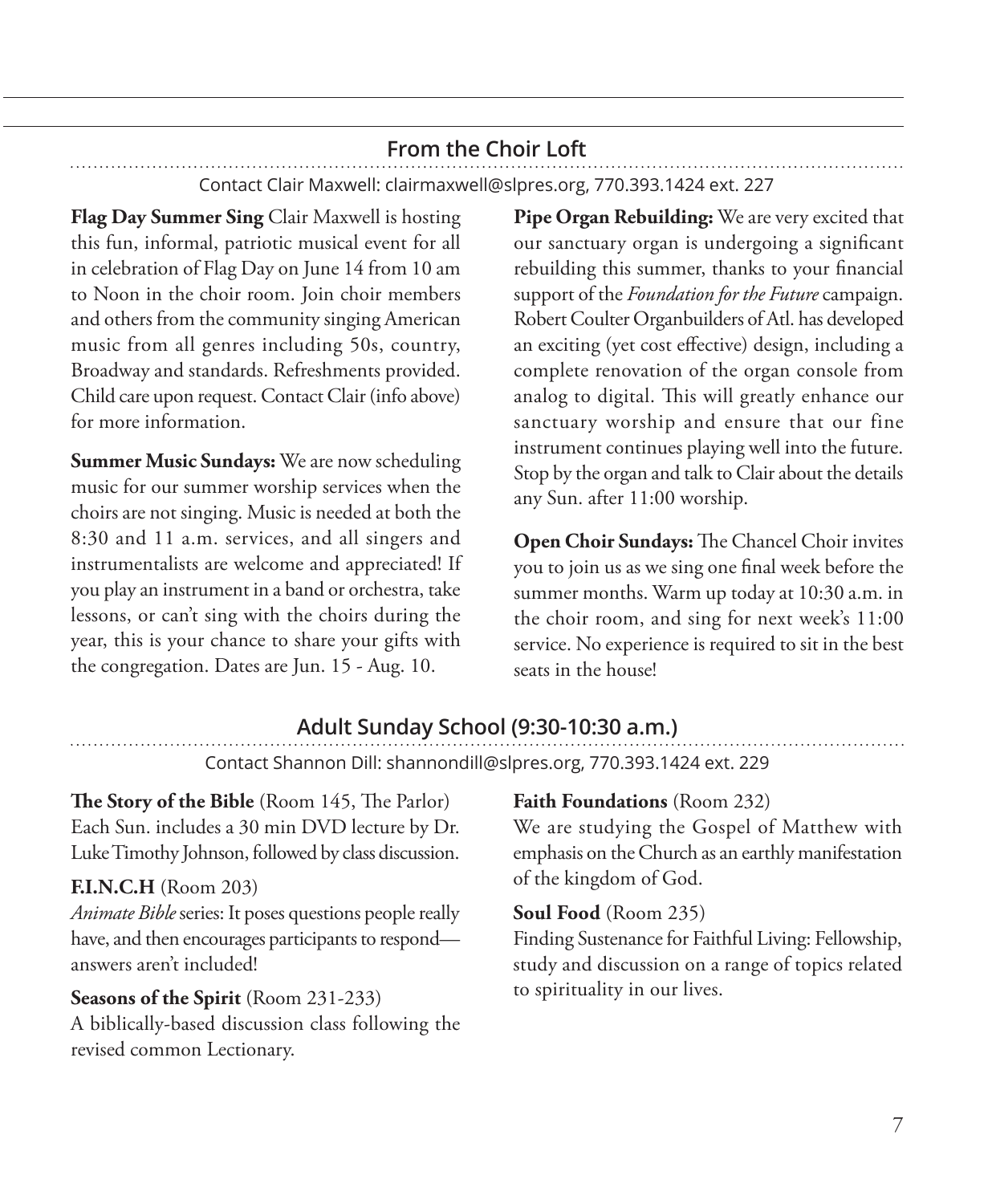# **From the Choir Loft**

Contact Clair Maxwell: clairmaxwell@slpres.org, 770.393.1424 ext. 227

**Flag Day Summer Sing** Clair Maxwell is hosting this fun, informal, patriotic musical event for all in celebration of Flag Day on June 14 from 10 am to Noon in the choir room. Join choir members and others from the community singing American music from all genres including 50s, country, Broadway and standards. Refreshments provided. Child care upon request. Contact Clair (info above) for more information.

**Summer Music Sundays:** We are now scheduling music for our summer worship services when the choirs are not singing. Music is needed at both the 8:30 and 11 a.m. services, and all singers and instrumentalists are welcome and appreciated! If you play an instrument in a band or orchestra, take lessons, or can't sing with the choirs during the year, this is your chance to share your gifts with the congregation. Dates are Jun. 15 - Aug. 10.

**Pipe Organ Rebuilding:** We are very excited that our sanctuary organ is undergoing a significant rebuilding this summer, thanks to your financial support of the *Foundation for the Future* campaign. Robert Coulter Organbuilders of Atl. has developed an exciting (yet cost effective) design, including a complete renovation of the organ console from analog to digital. This will greatly enhance our sanctuary worship and ensure that our fine instrument continues playing well into the future. Stop by the organ and talk to Clair about the details any Sun. after 11:00 worship.

**Open Choir Sundays:** The Chancel Choir invites you to join us as we sing one final week before the summer months. Warm up today at 10:30 a.m. in the choir room, and sing for next week's 11:00 service. No experience is required to sit in the best seats in the house!

# **Adult Sunday School (9:30-10:30 a.m.)**

Contact Shannon Dill: shannondill@slpres.org, 770.393.1424 ext. 229

**The Story of the Bible** (Room 145, The Parlor) Each Sun. includes a 30 min DVD lecture by Dr. Luke Timothy Johnson, followed by class discussion.

#### **F.I.N.C.H** (Room 203)

*Animate Bible* series: It poses questions people really have, and then encourages participants to respond answers aren't included!

#### **Seasons of the Spirit** (Room 231-233)

A biblically-based discussion class following the revised common Lectionary.

# **Faith Foundations** (Room 232)

We are studying the Gospel of Matthew with emphasis on the Church as an earthly manifestation of the kingdom of God.

#### **Soul Food** (Room 235)

Finding Sustenance for Faithful Living: Fellowship, study and discussion on a range of topics related to spirituality in our lives.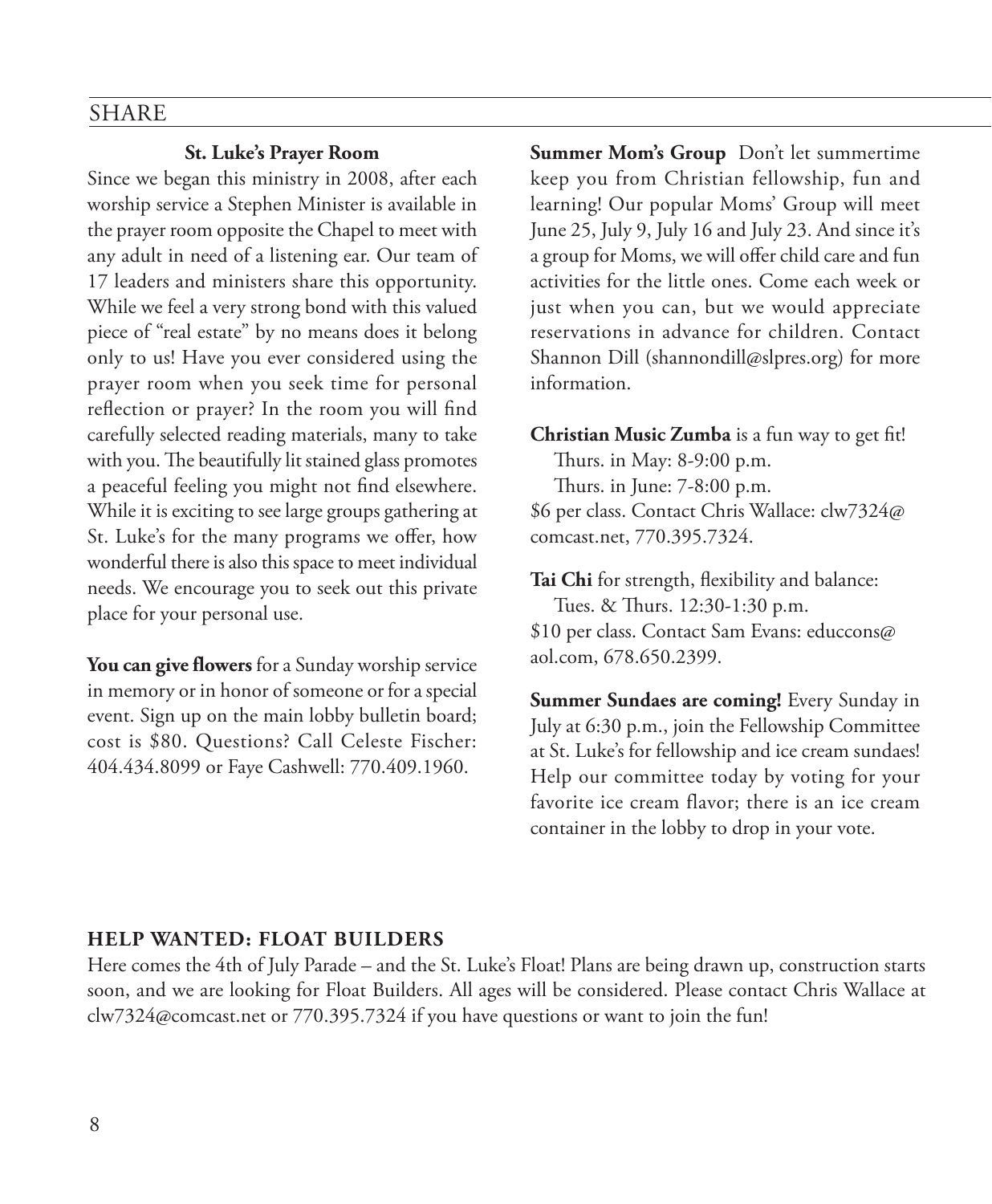#### SHARE

#### **St. Luke's Prayer Room**

Since we began this ministry in 2008, after each worship service a Stephen Minister is available in the prayer room opposite the Chapel to meet with any adult in need of a listening ear. Our team of 17 leaders and ministers share this opportunity. While we feel a very strong bond with this valued piece of "real estate" by no means does it belong only to us! Have you ever considered using the prayer room when you seek time for personal reflection or prayer? In the room you will find carefully selected reading materials, many to take with you. The beautifully lit stained glass promotes a peaceful feeling you might not find elsewhere. While it is exciting to see large groups gathering at St. Luke's for the many programs we offer, how wonderful there is also this space to meet individual needs. We encourage you to seek out this private place for your personal use.

**You can give flowers** for a Sunday worship service in memory or in honor of someone or for a special event. Sign up on the main lobby bulletin board; cost is \$80. Questions? Call Celeste Fischer: 404.434.8099 or Faye Cashwell: 770.409.1960.

**Summer Mom's Group** Don't let summertime keep you from Christian fellowship, fun and learning! Our popular Moms' Group will meet June 25, July 9, July 16 and July 23. And since it's a group for Moms, we will offer child care and fun activities for the little ones. Come each week or just when you can, but we would appreciate reservations in advance for children. Contact Shannon Dill (shannondill@slpres.org) for more information.

**Christian Music Zumba** is a fun way to get fit!

Thurs. in May: 8-9:00 p.m. Thurs. in June: 7-8:00 p.m. \$6 per class. Contact Chris Wallace: clw7324@ comcast.net, 770.395.7324.

**Tai Chi** for strength, flexibility and balance: Tues. & Thurs. 12:30-1:30 p.m. \$10 per class. Contact Sam Evans: educcons@ aol.com, 678.650.2399.

**Summer Sundaes are coming!** Every Sunday in July at 6:30 p.m., join the Fellowship Committee at St. Luke's for fellowship and ice cream sundaes! Help our committee today by voting for your favorite ice cream flavor; there is an ice cream container in the lobby to drop in your vote.

#### **HELP WANTED: FLOAT BUILDERS**

Here comes the 4th of July Parade – and the St. Luke's Float! Plans are being drawn up, construction starts soon, and we are looking for Float Builders. All ages will be considered. Please contact Chris Wallace at clw7324@comcast.net or 770.395.7324 if you have questions or want to join the fun!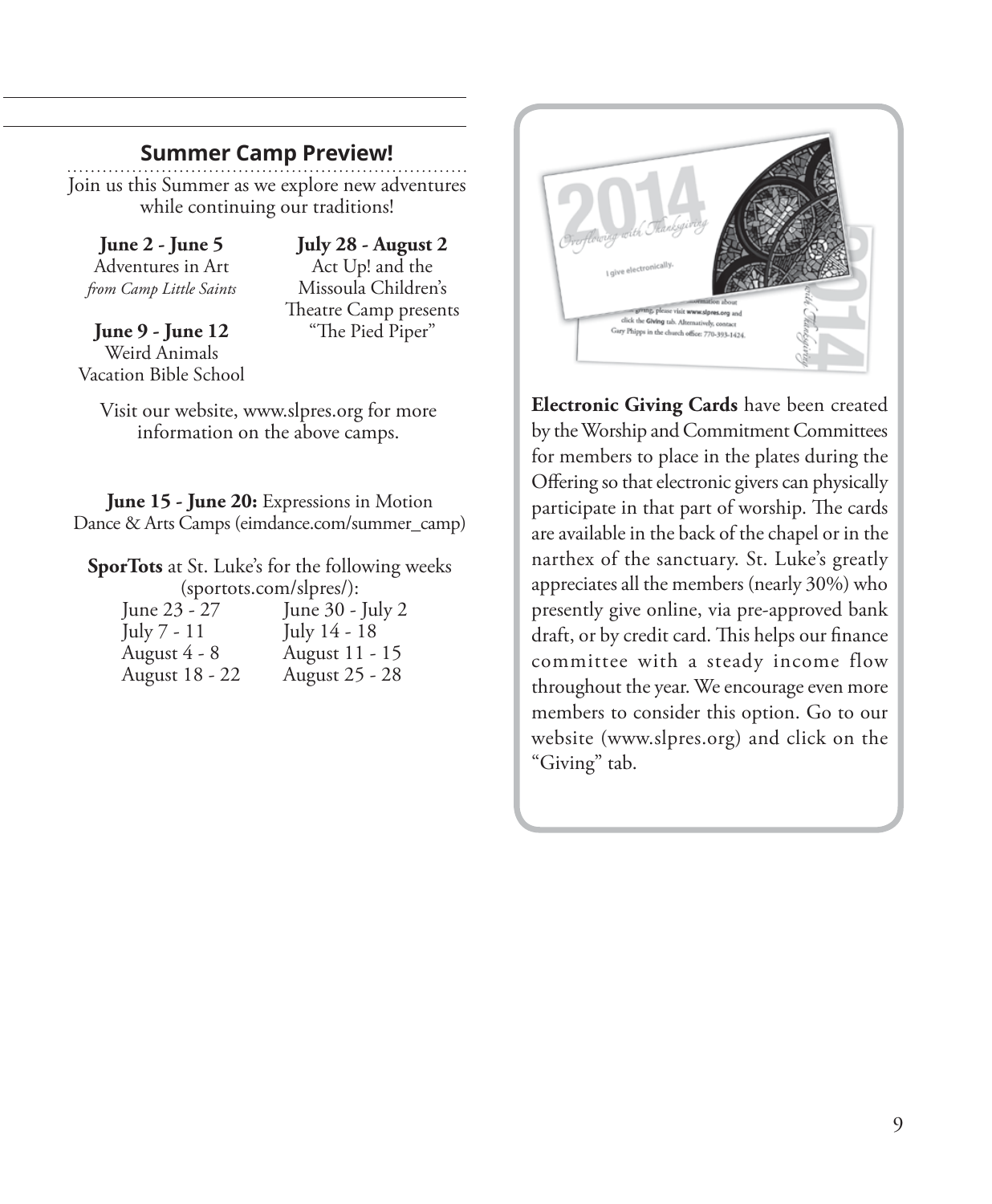## **Summer Camp Preview!**

Join us this Summer as we explore new adventures while continuing our traditions!

**June 2 - June 5**  Adventures in Art *from Camp Little Saints*

**June 9 - June 12**  Weird Animals Vacation Bible School

**July 28 - August 2**  Act Up! and the Missoula Children's Theatre Camp presents "The Pied Piper"

Visit our website, www.slpres.org for more information on the above camps.

**June 15 - June 20:** Expressions in Motion Dance & Arts Camps (eimdance.com/summer\_camp)

**SporTots** at St. Luke's for the following weeks (sportots.com/slpres/):<br> $\frac{1}{2}$  lune 23 - 27 lune 30 - $\overline{J$ une 30 -  $\overline{J}$ uly 2

| Julie $70 - \mu$ |
|------------------|
| July 14 - 18     |
| August 11 - 15   |
| August 25 - 28   |
|                  |



**Electronic Giving Cards** have been created by the Worship and Commitment Committees for members to place in the plates during the Offering so that electronic givers can physically participate in that part of worship. The cards are available in the back of the chapel or in the narthex of the sanctuary. St. Luke's greatly appreciates all the members (nearly 30%) who presently give online, via pre-approved bank draft, or by credit card. This helps our finance committee with a steady income flow throughout the year. We encourage even more members to consider this option. Go to our website (www.slpres.org) and click on the "Giving" tab.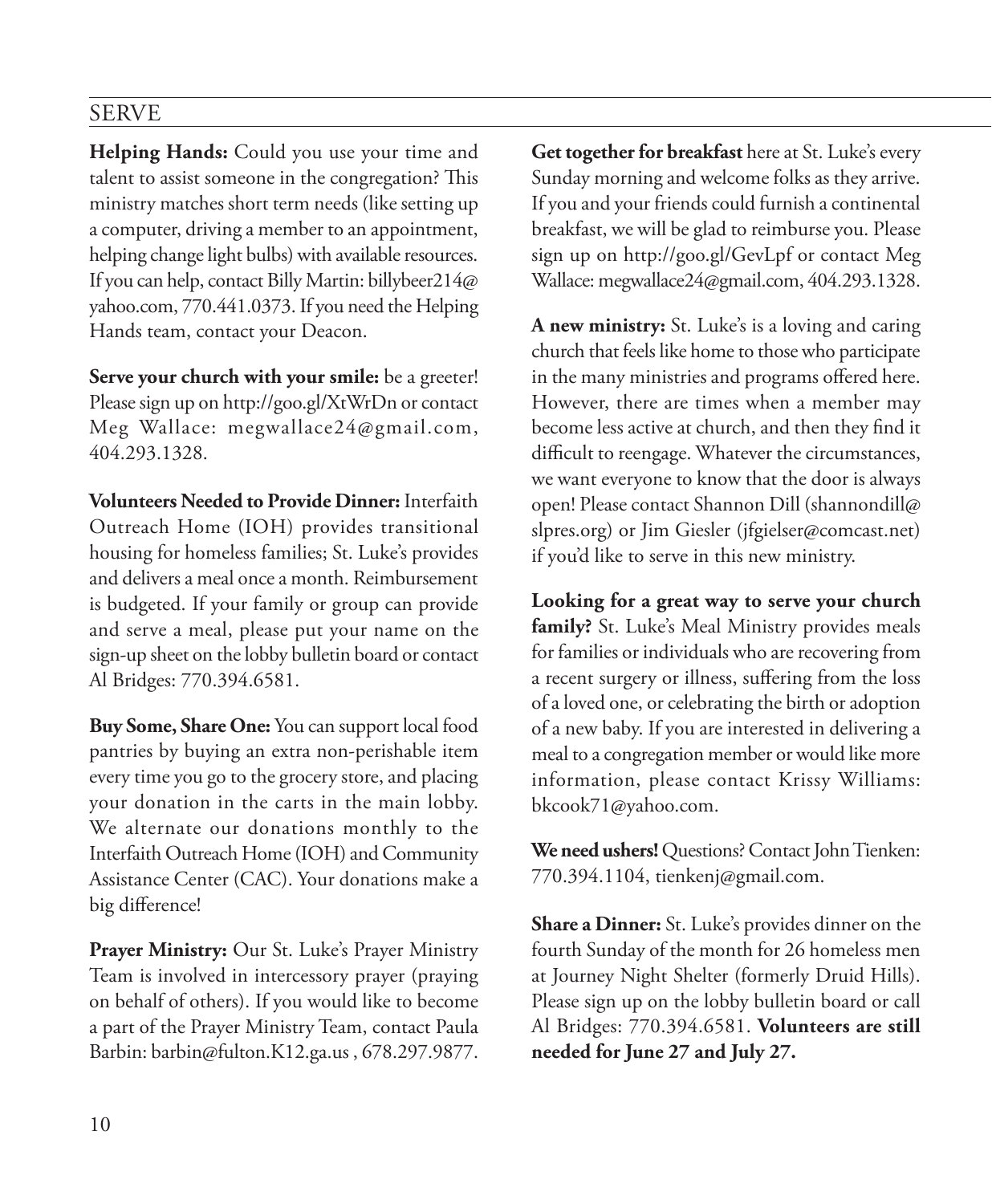# SERVE

**Helping Hands:** Could you use your time and talent to assist someone in the congregation? This ministry matches short term needs (like setting up a computer, driving a member to an appointment, helping change light bulbs) with available resources. If you can help, contact Billy Martin: billybeer214@ yahoo.com, 770.441.0373. If you need the Helping Hands team, contact your Deacon.

**Serve your church with your smile:** be a greeter! Please sign up on http://goo.gl/XtWrDn or contact Meg Wallace: megwallace24@gmail.com, 404.293.1328.

**Volunteers Needed to Provide Dinner:** Interfaith Outreach Home (IOH) provides transitional housing for homeless families; St. Luke's provides and delivers a meal once a month. Reimbursement is budgeted. If your family or group can provide and serve a meal, please put your name on the sign-up sheet on the lobby bulletin board or contact Al Bridges: 770.394.6581.

**Buy Some, Share One:** You can support local food pantries by buying an extra non-perishable item every time you go to the grocery store, and placing your donation in the carts in the main lobby. We alternate our donations monthly to the Interfaith Outreach Home (IOH) and Community Assistance Center (CAC). Your donations make a big difference!

**Prayer Ministry:** Our St. Luke's Prayer Ministry Team is involved in intercessory prayer (praying on behalf of others). If you would like to become a part of the Prayer Ministry Team, contact Paula Barbin: barbin@fulton.K12.ga.us , 678.297.9877.

**Get together for breakfast** here at St. Luke's every Sunday morning and welcome folks as they arrive. If you and your friends could furnish a continental breakfast, we will be glad to reimburse you. Please sign up on http://goo.gl/GevLpf or contact Meg Wallace: megwallace24@gmail.com, 404.293.1328.

**A new ministry:** St. Luke's is a loving and caring church that feels like home to those who participate in the many ministries and programs offered here. However, there are times when a member may become less active at church, and then they find it difficult to reengage. Whatever the circumstances, we want everyone to know that the door is always open! Please contact Shannon Dill (shannondill@ slpres.org) or Jim Giesler (jfgielser@comcast.net) if you'd like to serve in this new ministry.

**Looking for a great way to serve your church family?** St. Luke's Meal Ministry provides meals for families or individuals who are recovering from a recent surgery or illness, suffering from the loss of a loved one, or celebrating the birth or adoption of a new baby. If you are interested in delivering a meal to a congregation member or would like more information, please contact Krissy Williams: bkcook71@yahoo.com.

**We need ushers!** Questions? Contact John Tienken: 770.394.1104, tienkenj@gmail.com.

**Share a Dinner:** St. Luke's provides dinner on the fourth Sunday of the month for 26 homeless men at Journey Night Shelter (formerly Druid Hills). Please sign up on the lobby bulletin board or call Al Bridges: 770.394.6581. **Volunteers are still needed for June 27 and July 27.**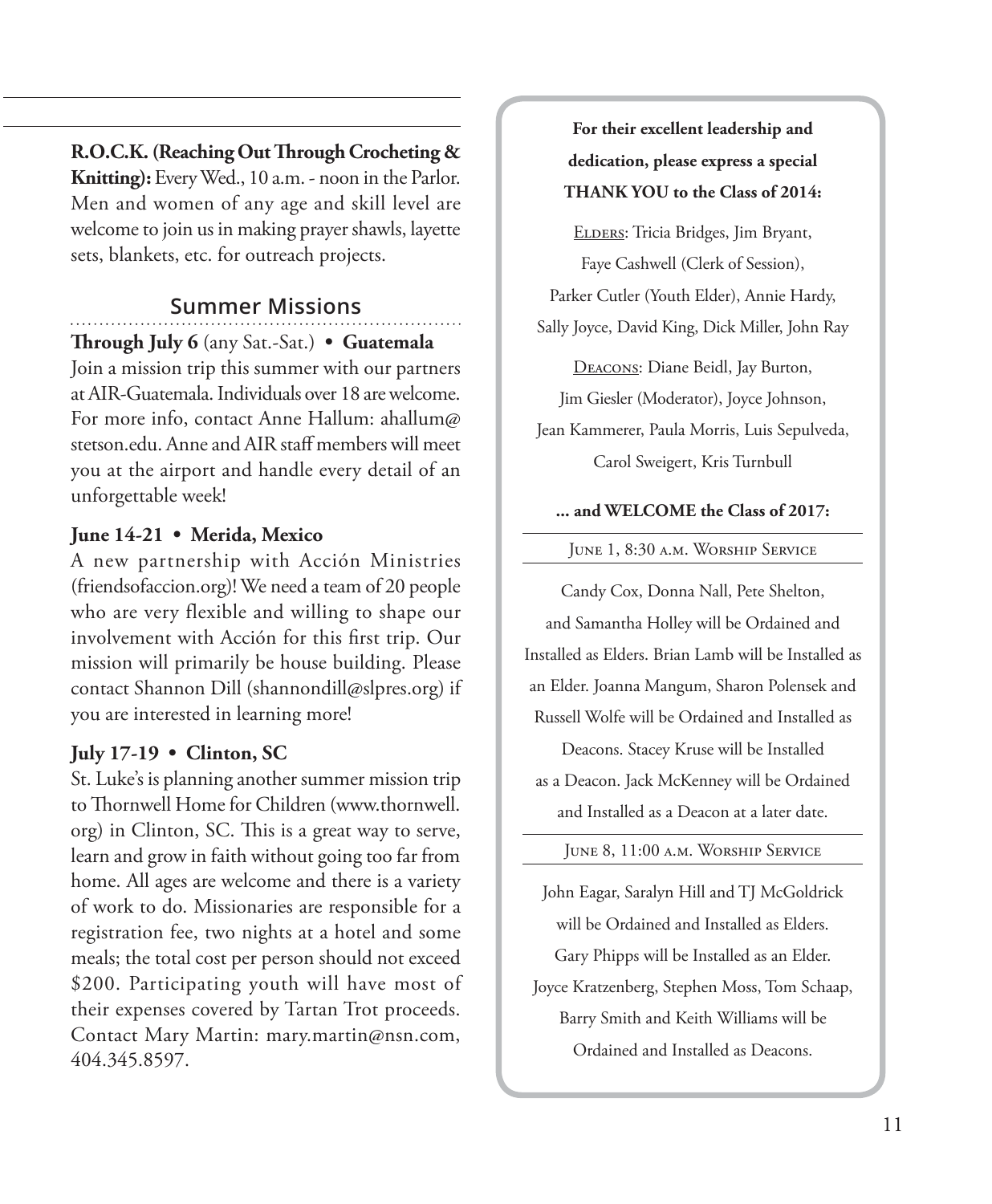**R.O.C.K. (Reaching Out Through Crocheting & Knitting):** Every Wed., 10 a.m. - noon in the Parlor. Men and women of any age and skill level are welcome to join us in making prayer shawls, layette sets, blankets, etc. for outreach projects.

#### **Summer Missions**

**Through July 6** (any Sat.-Sat.) **• Guatemala** Join a mission trip this summer with our partners at AIR-Guatemala. Individuals over 18 are welcome. For more info, contact Anne Hallum: ahallum@ stetson.edu. Anne and AIR staff members will meet you at the airport and handle every detail of an unforgettable week!

#### **June 14-21 • Merida, Mexico**

A new partnership with Acción Ministries (friendsofaccion.org)! We need a team of 20 people who are very flexible and willing to shape our involvement with Acción for this first trip. Our mission will primarily be house building. Please contact Shannon Dill (shannondill@slpres.org) if you are interested in learning more!

#### **July 17-19 • Clinton, SC**

St. Luke's is planning another summer mission trip to Thornwell Home for Children (www.thornwell. org) in Clinton, SC. This is a great way to serve, learn and grow in faith without going too far from home. All ages are welcome and there is a variety of work to do. Missionaries are responsible for a registration fee, two nights at a hotel and some meals; the total cost per person should not exceed \$200. Participating youth will have most of their expenses covered by Tartan Trot proceeds. Contact Mary Martin: mary.martin@nsn.com, 404.345.8597.

**For their excellent leadership and dedication, please express a special THANK YOU to the Class of 2014:**

ELDERS: Tricia Bridges, Jim Bryant, Faye Cashwell (Clerk of Session), Parker Cutler (Youth Elder), Annie Hardy, Sally Joyce, David King, Dick Miller, John Ray

Deacons: Diane Beidl, Jay Burton, Jim Giesler (Moderator), Joyce Johnson, Jean Kammerer, Paula Morris, Luis Sepulveda, Carol Sweigert, Kris Turnbull

#### **... and WELCOME the Class of 2017:**

June 1, 8:30 a.m. Worship Service

Candy Cox, Donna Nall, Pete Shelton, and Samantha Holley will be Ordained and Installed as Elders. Brian Lamb will be Installed as an Elder. Joanna Mangum, Sharon Polensek and Russell Wolfe will be Ordained and Installed as Deacons. Stacey Kruse will be Installed as a Deacon. Jack McKenney will be Ordained and Installed as a Deacon at a later date.

June 8, 11:00 a.m. Worship Service

John Eagar, Saralyn Hill and TJ McGoldrick will be Ordained and Installed as Elders. Gary Phipps will be Installed as an Elder. Joyce Kratzenberg, Stephen Moss, Tom Schaap, Barry Smith and Keith Williams will be Ordained and Installed as Deacons.